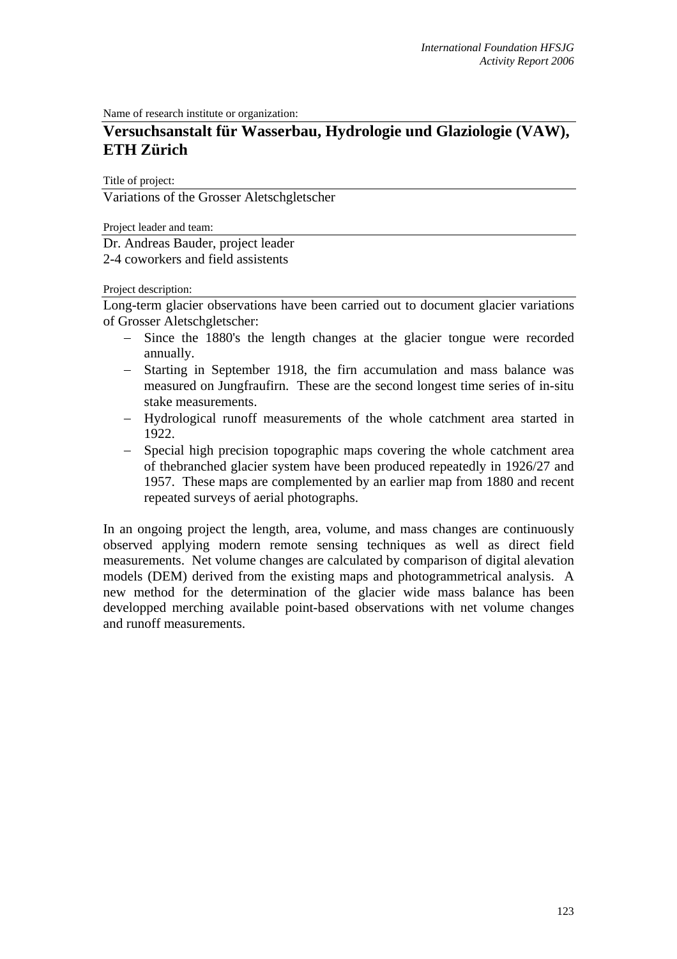Name of research institute or organization:

# **Versuchsanstalt für Wasserbau, Hydrologie und Glaziologie (VAW), ETH Zürich**

Title of project:

Variations of the Grosser Aletschgletscher

Project leader and team:

Dr. Andreas Bauder, project leader 2-4 coworkers and field assistents

Project description:

Long-term glacier observations have been carried out to document glacier variations of Grosser Aletschgletscher:

- − Since the 1880's the length changes at the glacier tongue were recorded annually.
- − Starting in September 1918, the firn accumulation and mass balance was measured on Jungfraufirn. These are the second longest time series of in-situ stake measurements.
- − Hydrological runoff measurements of the whole catchment area started in 1922.
- − Special high precision topographic maps covering the whole catchment area of thebranched glacier system have been produced repeatedly in 1926/27 and 1957. These maps are complemented by an earlier map from 1880 and recent repeated surveys of aerial photographs.

In an ongoing project the length, area, volume, and mass changes are continuously observed applying modern remote sensing techniques as well as direct field measurements. Net volume changes are calculated by comparison of digital alevation models (DEM) derived from the existing maps and photogrammetrical analysis. A new method for the determination of the glacier wide mass balance has been developped merching available point-based observations with net volume changes and runoff measurements.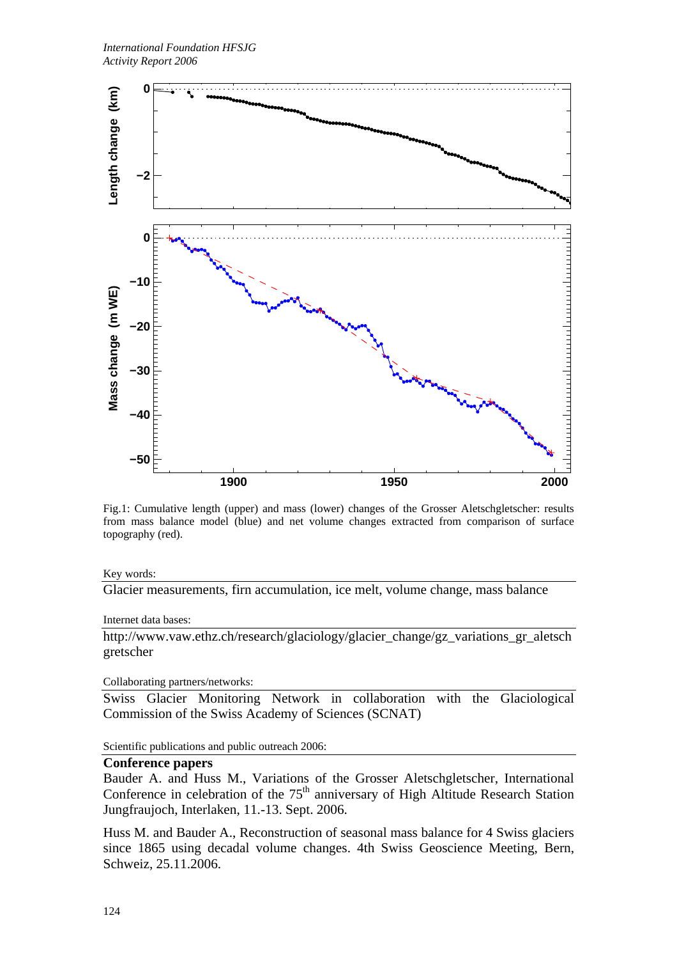

Fig.1: Cumulative length (upper) and mass (lower) changes of the Grosser Aletschgletscher: results from mass balance model (blue) and net volume changes extracted from comparison of surface topography (red).

Key words:

Glacier measurements, firn accumulation, ice melt, volume change, mass balance

Internet data bases:

http://www.vaw.ethz.ch/research/glaciology/glacier\_change/gz\_variations\_gr\_aletsch gretscher

Collaborating partners/networks:

Swiss Glacier Monitoring Network in collaboration with the Glaciological Commission of the Swiss Academy of Sciences (SCNAT)

Scientific publications and public outreach 2006:

#### **Conference papers**

Bauder A. and Huss M., Variations of the Grosser Aletschgletscher, International Conference in celebration of the  $75<sup>th</sup>$  anniversary of High Altitude Research Station Jungfraujoch, Interlaken, 11.-13. Sept. 2006.

Huss M. and Bauder A., Reconstruction of seasonal mass balance for 4 Swiss glaciers since 1865 using decadal volume changes. 4th Swiss Geoscience Meeting, Bern, Schweiz, 25.11.2006.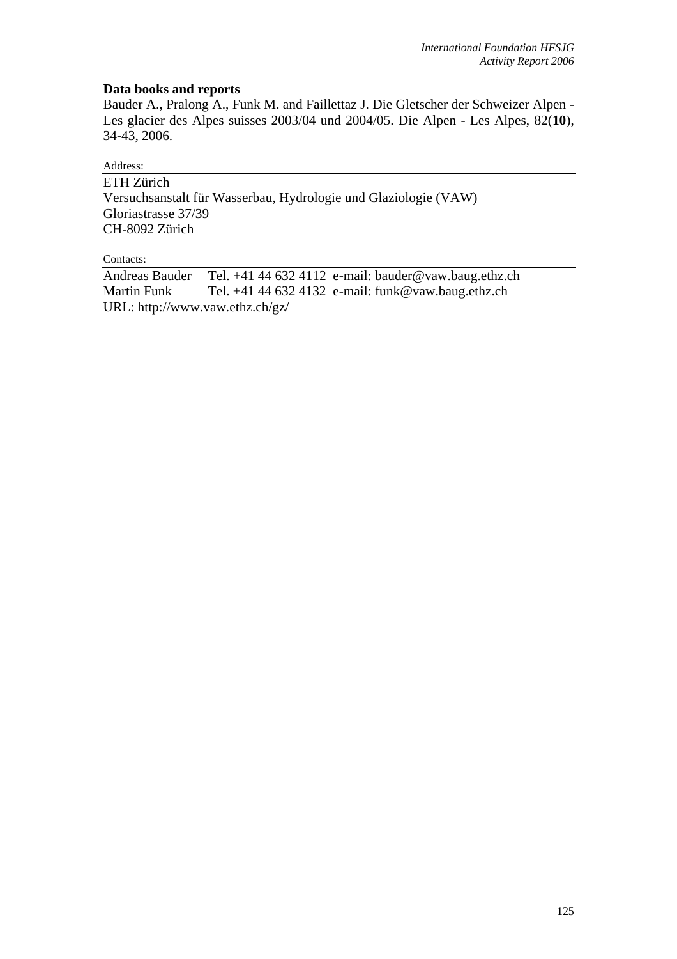## **Data books and reports**

Bauder A., Pralong A., Funk M. and Faillettaz J. Die Gletscher der Schweizer Alpen - Les glacier des Alpes suisses 2003/04 und 2004/05. Die Alpen - Les Alpes, 82(**10**), 34-43, 2006.

## Address:

ETH Zürich Versuchsanstalt für Wasserbau, Hydrologie und Glaziologie (VAW) Gloriastrasse 37/39 CH-8092 Zürich

#### Contacts:

Andreas Bauder Tel. +41 44 632 4112 e-mail: bauder@vaw.baug.ethz.ch Martin Funk Tel. +41 44 632 4132 e-mail: funk@vaw.baug.ethz.ch URL: http://www.vaw.ethz.ch/gz/